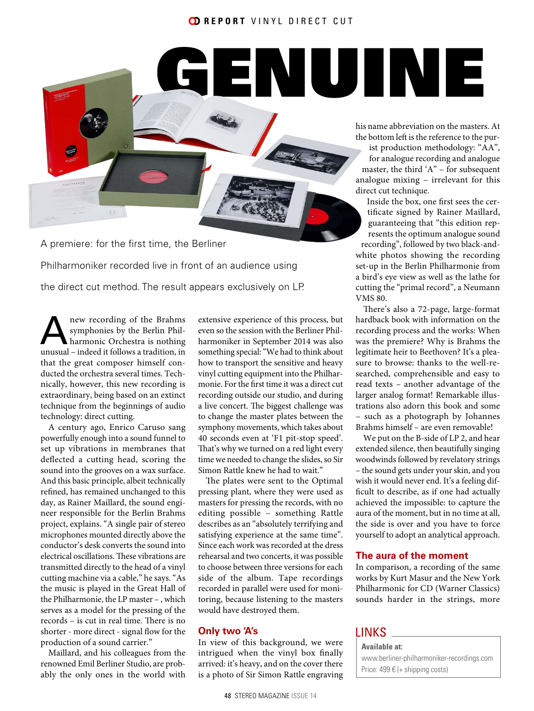# GENUINE



A premiere: for the first time, the Berliner Philharmoniker recorded live in front of an audience using the direct cut method. The result appears exclusively on LP.

new recording of the Brahms<br>symphonies by the Berlin Phil-<br>harmonic Orchestra is nothing<br>unusual indeed it follows a tradition in symphonies by the Berlin Philharmonic Orchestra is nothing unusual – indeed it follows a tradition, in that the great composer himself conducted the orchestra several times. Technically, however, this new recording is extraordinary, being based on an extinct technique from the beginnings of audio technology: direct cutting.

A century ago, Enrico Caruso sang powerfully enough into a sound funnel to set up vibrations in membranes that deflected a cutting head, scoring the sound into the grooves on a wax surface. And this basic principle, albeit technically refined, has remained unchanged to this day, as Rainer Maillard, the sound engineer responsible for the Berlin Brahms project, explains. "A single pair of stereo microphones mounted directly above the conductor's desk converts the sound into electrical oscillations. These vibrations are transmitted directly to the head of a vinyl cutting machine via a cable," he says. "As the music is played in the Great Hall of the Philharmonie, the LP master – , which serves as a model for the pressing of the records – is cut in real time. There is no shorter - more direct - signal flow for the production of a sound carrier."

Maillard, and his colleagues from the renowned Emil Berliner Studio, are probably the only ones in the world with

extensive experience of this process, but even so the session with the Berliner Philharmoniker in September 2014 was also something special: "We had to think about how to transport the sensitive and heavy vinyl cutting equipment into the Philharmonie. For the first time it was a direct cut recording outside our studio, and during a live concert. The biggest challenge was to change the master plates between the symphony movements, which takes about 40 seconds even at 'F1 pit-stop speed'. That's why we turned on a red light every time we needed to change the slides, so Sir Simon Rattle knew he had to wait."

The plates were sent to the Optimal pressing plant, where they were used as masters for pressing the records, with no editing possible – something Rattle describes as an "absolutely terrifying and satisfying experience at the same time". Since each work was recorded at the dress rehearsal and two concerts, it was possible to choose between three versions for each side of the album. Tape recordings recorded in parallel were used for monitoring, because listening to the masters would have destroyed them.

#### **Only two 'A's**

In view of this background, we were intrigued when the vinyl box finally arrived: it's heavy, and on the cover there is a photo of Sir Simon Rattle engraving

his name abbreviation on the masters. At the bottom left is the reference to the pur-

ist production methodology: "AA", for analogue recording and analogue master, the third 'A" – for subsequent analogue mixing – irrelevant for this direct cut technique.

Inside the box, one first sees the certificate signed by Rainer Maillard, guaranteeing that "this edition represents the optimum analogue sound recording", followed by two black-andwhite photos showing the recording set-up in the Berlin Philharmonie from a bird's eye view as well as the lathe for cutting the "primal record", a Neumann VMS 80.

There's also a 72-page, large-format hardback book with information on the recording process and the works: When was the premiere? Why is Brahms the legitimate heir to Beethoven? It's a pleasure to browse: thanks to the well-researched, comprehensible and easy to read texts – another advantage of the larger analog format! Remarkable illustrations also adorn this book and some – such as a photograph by Johannes Brahms himself – are even removable!

We put on the B-side of LP 2, and hear extended silence, then beautifully singing woodwinds followed by revelatory strings – the sound gets under your skin, and you wish it would never end. It's a feeling difficult to describe, as if one had actually achieved the impossible: to capture the aura of the moment, but in no time at all, the side is over and you have to force yourself to adopt an analytical approach.

### **The aura of the moment**

In comparison, a recording of the same works by Kurt Masur and the New York Philharmonic for CD (Warner Classics) sounds harder in the strings, more

## **LINKS**

**Available at:** www.berliner-philharmoniker-recordings.com Price: 499 € (+ shipping costs)